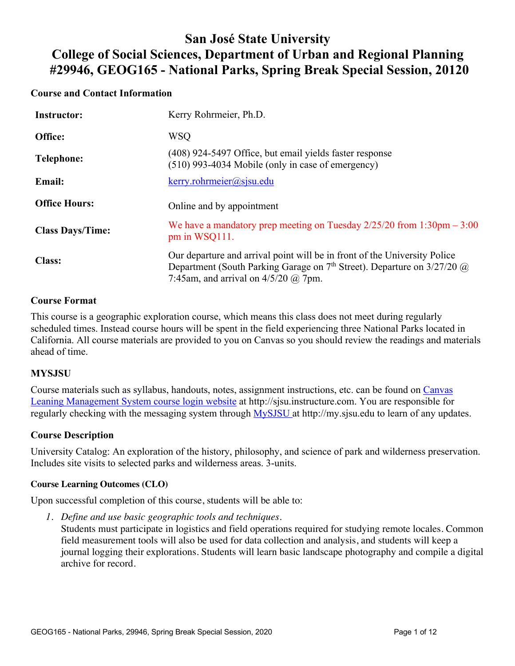# **San José State University College of Social Sciences, Department of Urban and Regional Planning #29946, GEOG165 - National Parks, Spring Break Special Session, 20120**

## **Course and Contact Information**

| <b>Instructor:</b>      | Kerry Rohrmeier, Ph.D.                                                                                                                                                                             |  |  |  |  |
|-------------------------|----------------------------------------------------------------------------------------------------------------------------------------------------------------------------------------------------|--|--|--|--|
| Office:                 | <b>WSQ</b>                                                                                                                                                                                         |  |  |  |  |
| Telephone:              | (408) 924-5497 Office, but email yields faster response<br>$(510)$ 993-4034 Mobile (only in case of emergency)                                                                                     |  |  |  |  |
| <b>Email:</b>           | $k$ erry.rohrmeier@sjsu.edu                                                                                                                                                                        |  |  |  |  |
| <b>Office Hours:</b>    | Online and by appointment                                                                                                                                                                          |  |  |  |  |
| <b>Class Days/Time:</b> | We have a mandatory prep meeting on Tuesday $2/25/20$ from $1:30$ pm $-3:00$<br>pm in WSQ111.                                                                                                      |  |  |  |  |
| <b>Class:</b>           | Our departure and arrival point will be in front of the University Police<br>Department (South Parking Garage on $7th$ Street). Departure on $3/27/20$ @<br>7:45am, and arrival on $4/5/20$ @ 7pm. |  |  |  |  |

## **Course Format**

This course is a geographic exploration course, which means this class does not meet during regularly scheduled times. Instead course hours will be spent in the field experiencing three National Parks located in California. All course materials are provided to you on Canvas so you should review the readings and materials ahead of time.

#### **MYSJSU**

Course materials such as syllabus, handouts, notes, assignment instructions, etc. can be found on Canvas Leaning Management System course login website at http://sjsu.instructure.com. You are responsible for regularly checking with the messaging system through MySJSU at http://my.sjsu.edu to learn of any updates.

#### **Course Description**

University Catalog: An exploration of the history, philosophy, and science of park and wilderness preservation. Includes site visits to selected parks and wilderness areas. 3-units.

#### **Course Learning Outcomes (CLO)**

Upon successful completion of this course, students will be able to:

*1. Define and use basic geographic tools and techniques.*

Students must participate in logistics and field operations required for studying remote locales. Common field measurement tools will also be used for data collection and analysis, and students will keep a journal logging their explorations. Students will learn basic landscape photography and compile a digital archive for record.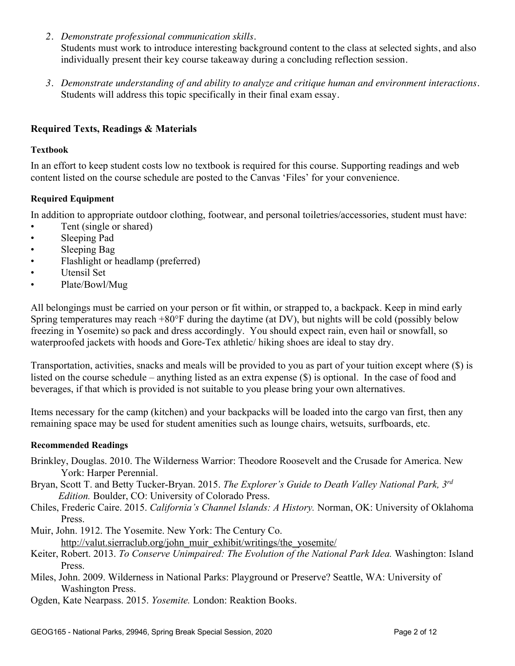*2. Demonstrate professional communication skills.*

Students must work to introduce interesting background content to the class at selected sights, and also individually present their key course takeaway during a concluding reflection session.

*3. Demonstrate understanding of and ability to analyze and critique human and environment interactions.* Students will address this topic specifically in their final exam essay.

## **Required Texts, Readings & Materials**

#### **Textbook**

In an effort to keep student costs low no textbook is required for this course. Supporting readings and web content listed on the course schedule are posted to the Canvas 'Files' for your convenience.

#### **Required Equipment**

In addition to appropriate outdoor clothing, footwear, and personal toiletries/accessories, student must have:

- Tent (single or shared)
- Sleeping Pad
- Sleeping Bag
- Flashlight or headlamp (preferred)
- Utensil Set
- Plate/Bowl/Mug

All belongings must be carried on your person or fit within, or strapped to, a backpack. Keep in mind early Spring temperatures may reach  $+80^{\circ}$ F during the daytime (at DV), but nights will be cold (possibly below freezing in Yosemite) so pack and dress accordingly. You should expect rain, even hail or snowfall, so waterproofed jackets with hoods and Gore-Tex athletic/ hiking shoes are ideal to stay dry.

Transportation, activities, snacks and meals will be provided to you as part of your tuition except where (\$) is listed on the course schedule – anything listed as an extra expense (\$) is optional. In the case of food and beverages, if that which is provided is not suitable to you please bring your own alternatives.

Items necessary for the camp (kitchen) and your backpacks will be loaded into the cargo van first, then any remaining space may be used for student amenities such as lounge chairs, wetsuits, surfboards, etc.

#### **Recommended Readings**

- Brinkley, Douglas. 2010. The Wilderness Warrior: Theodore Roosevelt and the Crusade for America. New York: Harper Perennial.
- Bryan, Scott T. and Betty Tucker-Bryan. 2015. *The Explorer's Guide to Death Valley National Park, 3rd Edition.* Boulder, CO: University of Colorado Press.
- Chiles, Frederic Caire. 2015. *California's Channel Islands: A History.* Norman, OK: University of Oklahoma Press.

Muir, John. 1912. The Yosemite. New York: The Century Co. http://valut.sierraclub.org/john\_muir\_exhibit/writings/the\_yosemite/

- Keiter, Robert. 2013. *To Conserve Unimpaired: The Evolution of the National Park Idea.* Washington: Island Press.
- Miles, John. 2009. Wilderness in National Parks: Playground or Preserve? Seattle, WA: University of Washington Press.
- Ogden, Kate Nearpass. 2015. *Yosemite.* London: Reaktion Books.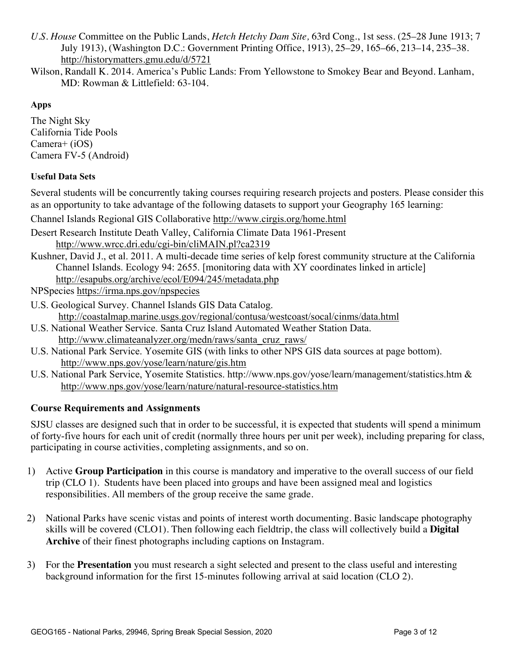- *U.S. House* Committee on the Public Lands, *Hetch Hetchy Dam Site,* 63rd Cong., 1st sess. (25–28 June 1913; 7 July 1913), (Washington D.C.: Government Printing Office, 1913), 25–29, 165–66, 213–14, 235–38. http://historymatters.gmu.edu/d/5721
- Wilson, Randall K. 2014. America's Public Lands: From Yellowstone to Smokey Bear and Beyond. Lanham, MD: Rowman & Littlefield: 63-104.

## **Apps**

The Night Sky California Tide Pools Camera+ (iOS) Camera FV-5 (Android)

## **Useful Data Sets**

Several students will be concurrently taking courses requiring research projects and posters. Please consider this as an opportunity to take advantage of the following datasets to support your Geography 165 learning:

Channel Islands Regional GIS Collaborative http://www.cirgis.org/home.html

- Desert Research Institute Death Valley, California Climate Data 1961-Present http://www.wrcc.dri.edu/cgi-bin/cliMAIN.pl?ca2319
- Kushner, David J., et al. 2011. A multi-decade time series of kelp forest community structure at the California Channel Islands. Ecology 94: 2655. [monitoring data with XY coordinates linked in article] http://esapubs.org/archive/ecol/E094/245/metadata.php

NPSpecies https://irma.nps.gov/npspecies

- U.S. Geological Survey. Channel Islands GIS Data Catalog. http://coastalmap.marine.usgs.gov/regional/contusa/westcoast/socal/cinms/data.html
- U.S. National Weather Service. Santa Cruz Island Automated Weather Station Data. http://www.climateanalyzer.org/medn/raws/santa\_cruz\_raws/
- U.S. National Park Service. Yosemite GIS (with links to other NPS GIS data sources at page bottom). http://www.nps.gov/yose/learn/nature/gis.htm
- U.S. National Park Service, Yosemite Statistics. http://www.nps.gov/yose/learn/management/statistics.htm & http://www.nps.gov/yose/learn/nature/natural-resource-statistics.htm

## **Course Requirements and Assignments**

SJSU classes are designed such that in order to be successful, it is expected that students will spend a minimum of forty-five hours for each unit of credit (normally three hours per unit per week), including preparing for class, participating in course activities, completing assignments, and so on.

- 1) Active **Group Participation** in this course is mandatory and imperative to the overall success of our field trip (CLO 1). Students have been placed into groups and have been assigned meal and logistics responsibilities. All members of the group receive the same grade.
- 2) National Parks have scenic vistas and points of interest worth documenting. Basic landscape photography skills will be covered (CLO1). Then following each fieldtrip, the class will collectively build a **Digital Archive** of their finest photographs including captions on Instagram.
- 3) For the **Presentation** you must research a sight selected and present to the class useful and interesting background information for the first 15-minutes following arrival at said location (CLO 2).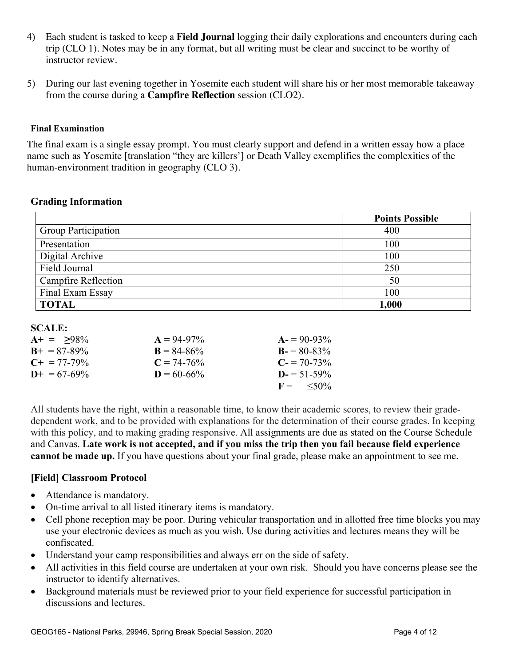- 4) Each student is tasked to keep a **Field Journal** logging their daily explorations and encounters during each trip (CLO 1). Notes may be in any format, but all writing must be clear and succinct to be worthy of instructor review.
- 5) During our last evening together in Yosemite each student will share his or her most memorable takeaway from the course during a **Campfire Reflection** session (CLO2).

#### **Final Examination**

The final exam is a single essay prompt. You must clearly support and defend in a written essay how a place name such as Yosemite [translation "they are killers'] or Death Valley exemplifies the complexities of the human-environment tradition in geography (CLO 3).

## **Grading Information**

|                            | <b>Points Possible</b> |
|----------------------------|------------------------|
| <b>Group Participation</b> | 400                    |
| Presentation               | 100                    |
| Digital Archive            | 100                    |
| Field Journal              | 250                    |
| <b>Campfire Reflection</b> | 50                     |
| Final Exam Essay           | 100                    |
| <b>TOTAL</b>               | 1,000                  |

#### **SCALE:**

| $A+ = 98\%$           | $A = 94-97\%$   | $A = 90-93\%$              |
|-----------------------|-----------------|----------------------------|
| $B_{+} = 87 - 89\%$   | $B = 84 - 86\%$ | $B = 80-83\%$              |
| $C_{\pm} = 77 - 79\%$ | $C = 74-76%$    | $C = 70-73\%$              |
| $D+ = 67-69\%$        | $D = 60 - 66\%$ | $D = 51 - 59\%$            |
|                       |                 | $F = \langle 50\% \rangle$ |

All students have the right, within a reasonable time, to know their academic scores, to review their gradedependent work, and to be provided with explanations for the determination of their course grades. In keeping with this policy, and to making grading responsive. All assignments are due as stated on the Course Schedule and Canvas. **Late work is not accepted, and if you miss the trip then you fail because field experience cannot be made up.** If you have questions about your final grade, please make an appointment to see me.

#### **[Field] Classroom Protocol**

- Attendance is mandatory.
- On-time arrival to all listed itinerary items is mandatory.
- Cell phone reception may be poor. During vehicular transportation and in allotted free time blocks you may use your electronic devices as much as you wish. Use during activities and lectures means they will be confiscated.
- Understand your camp responsibilities and always err on the side of safety.
- All activities in this field course are undertaken at your own risk. Should you have concerns please see the instructor to identify alternatives.
- Background materials must be reviewed prior to your field experience for successful participation in discussions and lectures.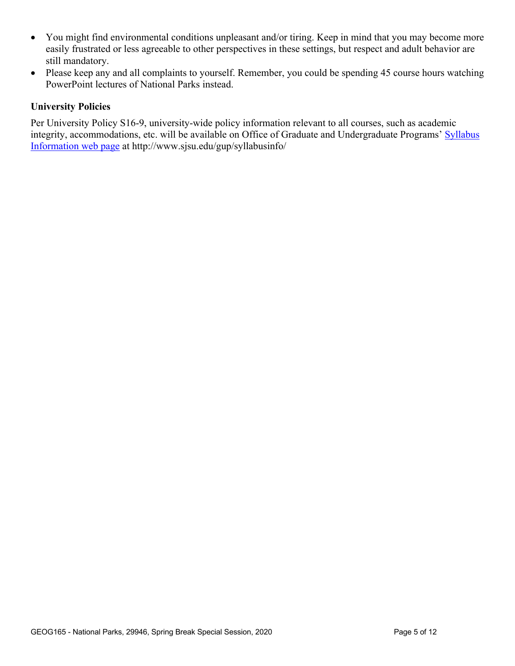- You might find environmental conditions unpleasant and/or tiring. Keep in mind that you may become more easily frustrated or less agreeable to other perspectives in these settings, but respect and adult behavior are still mandatory.
- Please keep any and all complaints to yourself. Remember, you could be spending 45 course hours watching PowerPoint lectures of National Parks instead.

## **University Policies**

Per University Policy S16-9, university-wide policy information relevant to all courses, such as academic integrity, accommodations, etc. will be available on Office of Graduate and Undergraduate Programs' Syllabus Information web page at http://www.sjsu.edu/gup/syllabusinfo/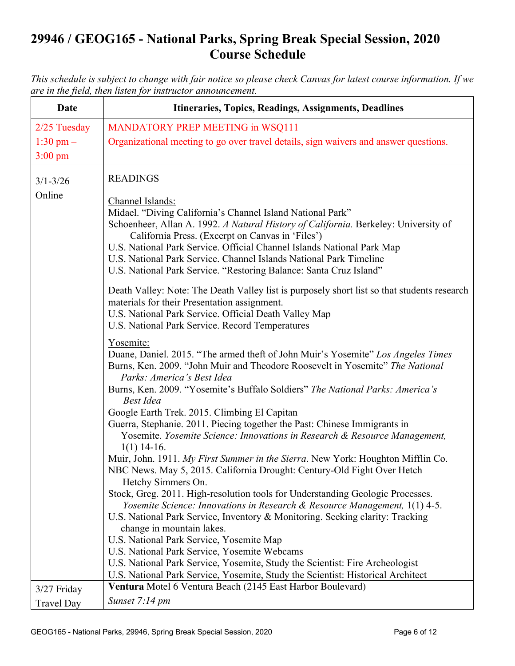# **29946 / GEOG165 - National Parks, Spring Break Special Session, 2020 Course Schedule**

*This schedule is subject to change with fair notice so please check Canvas for latest course information. If we are in the field, then listen for instructor announcement.*

| <b>Date</b>       | Itineraries, Topics, Readings, Assignments, Deadlines                                                                                                                                           |  |  |  |  |
|-------------------|-------------------------------------------------------------------------------------------------------------------------------------------------------------------------------------------------|--|--|--|--|
| 2/25 Tuesday      | MANDATORY PREP MEETING in WSQ111                                                                                                                                                                |  |  |  |  |
| 1:30 pm $-$       | Organizational meeting to go over travel details, sign waivers and answer questions.                                                                                                            |  |  |  |  |
| $3:00 \text{ pm}$ |                                                                                                                                                                                                 |  |  |  |  |
| $3/1 - 3/26$      | <b>READINGS</b>                                                                                                                                                                                 |  |  |  |  |
| Online            | Channel Islands:                                                                                                                                                                                |  |  |  |  |
|                   | Midael. "Diving California's Channel Island National Park"<br>Schoenheer, Allan A. 1992. A Natural History of California. Berkeley: University of                                               |  |  |  |  |
|                   | California Press. (Excerpt on Canvas in 'Files')                                                                                                                                                |  |  |  |  |
|                   | U.S. National Park Service. Official Channel Islands National Park Map                                                                                                                          |  |  |  |  |
|                   | U.S. National Park Service. Channel Islands National Park Timeline<br>U.S. National Park Service. "Restoring Balance: Santa Cruz Island"                                                        |  |  |  |  |
|                   |                                                                                                                                                                                                 |  |  |  |  |
|                   | Death Valley: Note: The Death Valley list is purposely short list so that students research<br>materials for their Presentation assignment.                                                     |  |  |  |  |
|                   | U.S. National Park Service. Official Death Valley Map                                                                                                                                           |  |  |  |  |
|                   | U.S. National Park Service. Record Temperatures                                                                                                                                                 |  |  |  |  |
|                   | Yosemite:                                                                                                                                                                                       |  |  |  |  |
|                   | Duane, Daniel. 2015. "The armed theft of John Muir's Yosemite" Los Angeles Times<br>Burns, Ken. 2009. "John Muir and Theodore Roosevelt in Yosemite" The National<br>Parks: America's Best Idea |  |  |  |  |
|                   | Burns, Ken. 2009. "Yosemite's Buffalo Soldiers" The National Parks: America's<br><b>Best Idea</b>                                                                                               |  |  |  |  |
|                   | Google Earth Trek. 2015. Climbing El Capitan                                                                                                                                                    |  |  |  |  |
|                   | Guerra, Stephanie. 2011. Piecing together the Past: Chinese Immigrants in                                                                                                                       |  |  |  |  |
|                   | Yosemite. Yosemite Science: Innovations in Research & Resource Management,<br>$1(1)$ 14-16.                                                                                                     |  |  |  |  |
|                   | Muir, John. 1911. My First Summer in the Sierra. New York: Houghton Mifflin Co.<br>NBC News. May 5, 2015. California Drought: Century-Old Fight Over Hetch                                      |  |  |  |  |
|                   | Hetchy Simmers On.                                                                                                                                                                              |  |  |  |  |
|                   | Stock, Greg. 2011. High-resolution tools for Understanding Geologic Processes.                                                                                                                  |  |  |  |  |
|                   | Yosemite Science: Innovations in Research & Resource Management, 1(1) 4-5.<br>U.S. National Park Service, Inventory & Monitoring. Seeking clarity: Tracking                                     |  |  |  |  |
|                   | change in mountain lakes.                                                                                                                                                                       |  |  |  |  |
|                   | U.S. National Park Service, Yosemite Map                                                                                                                                                        |  |  |  |  |
|                   | U.S. National Park Service, Yosemite Webcams                                                                                                                                                    |  |  |  |  |
|                   | U.S. National Park Service, Yosemite, Study the Scientist: Fire Archeologist                                                                                                                    |  |  |  |  |
|                   | U.S. National Park Service, Yosemite, Study the Scientist: Historical Architect                                                                                                                 |  |  |  |  |
| 3/27 Friday       | Ventura Motel 6 Ventura Beach (2145 East Harbor Boulevard)                                                                                                                                      |  |  |  |  |
| <b>Travel Day</b> | Sunset 7:14 pm                                                                                                                                                                                  |  |  |  |  |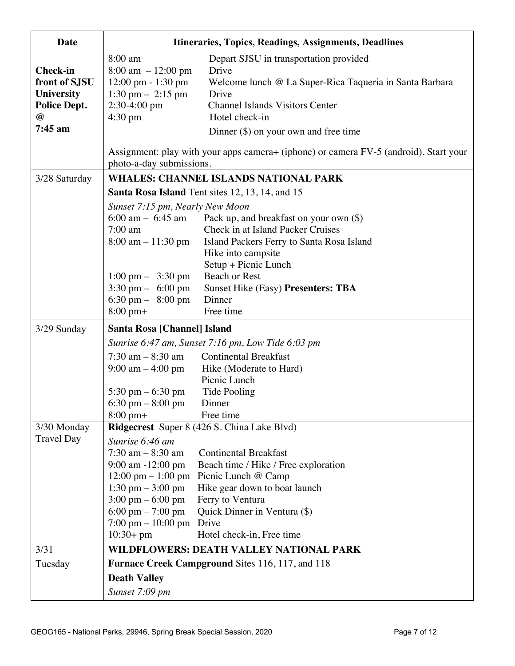| Date                                                                                                     | Itineraries, Topics, Readings, Assignments, Deadlines                                                                                                                                                                                                                                                                                                              |  |  |  |  |  |
|----------------------------------------------------------------------------------------------------------|--------------------------------------------------------------------------------------------------------------------------------------------------------------------------------------------------------------------------------------------------------------------------------------------------------------------------------------------------------------------|--|--|--|--|--|
| <b>Check-in</b><br>front of SJSU<br><b>University</b><br><b>Police Dept.</b><br>$\bm{\omega}$<br>7:45 am | 8:00 am<br>Depart SJSU in transportation provided<br>$8:00 \text{ am } -12:00 \text{ pm}$<br>Drive<br>12:00 pm - 1:30 pm<br>Welcome lunch @ La Super-Rica Taqueria in Santa Barbara<br>$1:30$ pm $-2:15$ pm<br>Drive<br>$2:30-4:00$ pm<br><b>Channel Islands Visitors Center</b><br>$4:30 \text{ pm}$<br>Hotel check-in<br>Dinner $(\$)$ on your own and free time |  |  |  |  |  |
|                                                                                                          | Assignment: play with your apps camera + (iphone) or camera FV-5 (android). Start your<br>photo-a-day submissions.                                                                                                                                                                                                                                                 |  |  |  |  |  |
| 3/28 Saturday                                                                                            | <b>WHALES: CHANNEL ISLANDS NATIONAL PARK</b>                                                                                                                                                                                                                                                                                                                       |  |  |  |  |  |
|                                                                                                          | <b>Santa Rosa Island</b> Tent sites 12, 13, 14, and 15                                                                                                                                                                                                                                                                                                             |  |  |  |  |  |
|                                                                                                          | Sunset 7:15 pm, Nearly New Moon                                                                                                                                                                                                                                                                                                                                    |  |  |  |  |  |
|                                                                                                          | 6:00 am $-$ 6:45 am<br>Pack up, and breakfast on your own $(\$)$                                                                                                                                                                                                                                                                                                   |  |  |  |  |  |
|                                                                                                          | Check in at Island Packer Cruises<br>$7:00$ am                                                                                                                                                                                                                                                                                                                     |  |  |  |  |  |
|                                                                                                          | $8:00 \text{ am} - 11:30 \text{ pm}$<br>Island Packers Ferry to Santa Rosa Island                                                                                                                                                                                                                                                                                  |  |  |  |  |  |
|                                                                                                          | Hike into campsite<br>Setup + Picnic Lunch                                                                                                                                                                                                                                                                                                                         |  |  |  |  |  |
|                                                                                                          | <b>Beach or Rest</b><br>$1:00 \text{ pm} - 3:30 \text{ pm}$                                                                                                                                                                                                                                                                                                        |  |  |  |  |  |
|                                                                                                          | $3:30 \text{ pm} - 6:00 \text{ pm}$<br><b>Sunset Hike (Easy) Presenters: TBA</b>                                                                                                                                                                                                                                                                                   |  |  |  |  |  |
|                                                                                                          | 6:30 pm $-8:00$ pm<br>Dinner                                                                                                                                                                                                                                                                                                                                       |  |  |  |  |  |
|                                                                                                          | $8:00 \text{ pm}+$<br>Free time                                                                                                                                                                                                                                                                                                                                    |  |  |  |  |  |
| 3/29 Sunday                                                                                              | Santa Rosa [Channel] Island                                                                                                                                                                                                                                                                                                                                        |  |  |  |  |  |
|                                                                                                          | Sunrise 6:47 am, Sunset 7:16 pm, Low Tide 6:03 pm                                                                                                                                                                                                                                                                                                                  |  |  |  |  |  |
|                                                                                                          | $7:30$ am $-8:30$ am<br><b>Continental Breakfast</b>                                                                                                                                                                                                                                                                                                               |  |  |  |  |  |
|                                                                                                          | $9:00 \text{ am} - 4:00 \text{ pm}$<br>Hike (Moderate to Hard)                                                                                                                                                                                                                                                                                                     |  |  |  |  |  |
|                                                                                                          | Picnic Lunch<br>Tide Pooling<br>5:30 pm $-6:30$ pm                                                                                                                                                                                                                                                                                                                 |  |  |  |  |  |
|                                                                                                          | 6:30 pm $-8:00$ pm<br>Dinner                                                                                                                                                                                                                                                                                                                                       |  |  |  |  |  |
|                                                                                                          | Free time<br>$8:00 \text{ pm}+$                                                                                                                                                                                                                                                                                                                                    |  |  |  |  |  |
| 3/30 Monday                                                                                              | <b>Ridgecrest</b> Super 8 (426 S. China Lake Blvd)                                                                                                                                                                                                                                                                                                                 |  |  |  |  |  |
| <b>Travel Day</b>                                                                                        | Sunrise 6:46 am                                                                                                                                                                                                                                                                                                                                                    |  |  |  |  |  |
|                                                                                                          | $7:30$ am $-8:30$ am<br><b>Continental Breakfast</b>                                                                                                                                                                                                                                                                                                               |  |  |  |  |  |
|                                                                                                          | 9:00 am -12:00 pm<br>Beach time / Hike / Free exploration                                                                                                                                                                                                                                                                                                          |  |  |  |  |  |
|                                                                                                          | 12:00 pm $- 1:00$ pm<br>Picnic Lunch @ Camp                                                                                                                                                                                                                                                                                                                        |  |  |  |  |  |
|                                                                                                          | 1:30 pm $-3:00$ pm<br>Hike gear down to boat launch<br>$3:00 \text{ pm} - 6:00 \text{ pm}$<br>Ferry to Ventura                                                                                                                                                                                                                                                     |  |  |  |  |  |
|                                                                                                          | 6:00 pm $- 7:00$ pm<br>Quick Dinner in Ventura (\$)                                                                                                                                                                                                                                                                                                                |  |  |  |  |  |
|                                                                                                          | $7:00 \text{ pm} - 10:00 \text{ pm}$<br>Drive                                                                                                                                                                                                                                                                                                                      |  |  |  |  |  |
|                                                                                                          | $10:30+pm$<br>Hotel check-in, Free time                                                                                                                                                                                                                                                                                                                            |  |  |  |  |  |
| 3/31                                                                                                     | WILDFLOWERS: DEATH VALLEY NATIONAL PARK                                                                                                                                                                                                                                                                                                                            |  |  |  |  |  |
| Tuesday                                                                                                  | <b>Furnace Creek Campground Sites 116, 117, and 118</b>                                                                                                                                                                                                                                                                                                            |  |  |  |  |  |
|                                                                                                          | <b>Death Valley</b>                                                                                                                                                                                                                                                                                                                                                |  |  |  |  |  |
|                                                                                                          | Sunset 7:09 pm                                                                                                                                                                                                                                                                                                                                                     |  |  |  |  |  |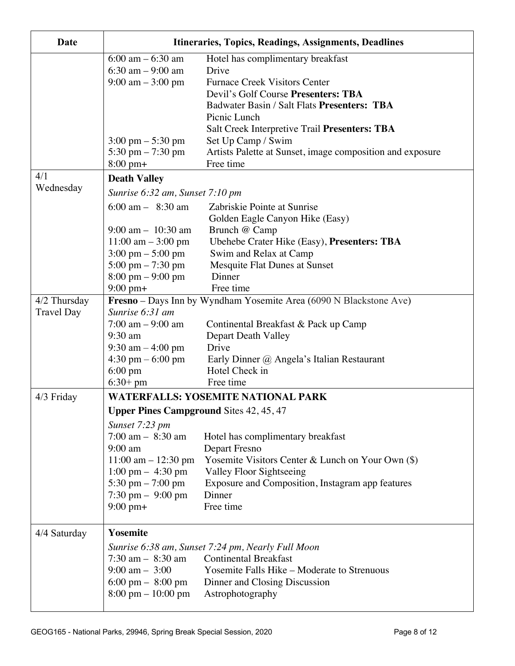| Date                                                                                                      | Itineraries, Topics, Readings, Assignments, Deadlines              |                                                           |  |  |  |  |  |
|-----------------------------------------------------------------------------------------------------------|--------------------------------------------------------------------|-----------------------------------------------------------|--|--|--|--|--|
|                                                                                                           | $6:00$ am $-6:30$ am<br>Hotel has complimentary breakfast          |                                                           |  |  |  |  |  |
|                                                                                                           | 6:30 am $-9:00$ am                                                 | Drive                                                     |  |  |  |  |  |
|                                                                                                           | $9:00 \text{ am} - 3:00 \text{ pm}$                                | <b>Furnace Creek Visitors Center</b>                      |  |  |  |  |  |
|                                                                                                           |                                                                    | Devil's Golf Course Presenters: TBA                       |  |  |  |  |  |
|                                                                                                           |                                                                    | Badwater Basin / Salt Flats Presenters: TBA               |  |  |  |  |  |
|                                                                                                           |                                                                    | Picnic Lunch                                              |  |  |  |  |  |
|                                                                                                           |                                                                    | Salt Creek Interpretive Trail Presenters: TBA             |  |  |  |  |  |
|                                                                                                           | $3:00 \text{ pm} - 5:30 \text{ pm}$                                | Set Up Camp / Swim                                        |  |  |  |  |  |
|                                                                                                           | 5:30 pm $-7:30$ pm                                                 | Artists Palette at Sunset, image composition and exposure |  |  |  |  |  |
|                                                                                                           | $8:00 \text{ pm}+$                                                 | Free time                                                 |  |  |  |  |  |
| 4/1                                                                                                       | <b>Death Valley</b>                                                |                                                           |  |  |  |  |  |
| Wednesday                                                                                                 | Sunrise 6:32 am, Sunset 7:10 pm                                    |                                                           |  |  |  |  |  |
|                                                                                                           | $6:00 \text{ am} - 8:30 \text{ am}$                                | Zabriskie Pointe at Sunrise                               |  |  |  |  |  |
|                                                                                                           |                                                                    | Golden Eagle Canyon Hike (Easy)                           |  |  |  |  |  |
|                                                                                                           | $9:00$ am $-10:30$ am                                              | Brunch @ Camp                                             |  |  |  |  |  |
|                                                                                                           | $11:00$ am $-3:00$ pm                                              | Ubehebe Crater Hike (Easy), Presenters: TBA               |  |  |  |  |  |
|                                                                                                           | $3:00 \text{ pm} - 5:00 \text{ pm}$                                | Swim and Relax at Camp                                    |  |  |  |  |  |
|                                                                                                           | $5:00 \text{ pm} - 7:30 \text{ pm}$                                | Mesquite Flat Dunes at Sunset                             |  |  |  |  |  |
|                                                                                                           | $8:00 \text{ pm} - 9:00 \text{ pm}$                                | Dinner                                                    |  |  |  |  |  |
|                                                                                                           | $9:00$ pm+                                                         | Free time                                                 |  |  |  |  |  |
| 4/2 Thursday                                                                                              | Fresno - Days Inn by Wyndham Yosemite Area (6090 N Blackstone Ave) |                                                           |  |  |  |  |  |
| <b>Travel Day</b>                                                                                         | Sunrise 6:31 am                                                    |                                                           |  |  |  |  |  |
|                                                                                                           | $7:00$ am $-9:00$ am                                               | Continental Breakfast & Pack up Camp                      |  |  |  |  |  |
|                                                                                                           | $9:30$ am                                                          | Depart Death Valley                                       |  |  |  |  |  |
|                                                                                                           | 9:30 am $-$ 4:00 pm                                                | Drive                                                     |  |  |  |  |  |
|                                                                                                           | $4:30 \text{ pm} - 6:00 \text{ pm}$                                | Early Dinner @ Angela's Italian Restaurant                |  |  |  |  |  |
|                                                                                                           | $6:00 \text{ pm}$                                                  | Hotel Check in                                            |  |  |  |  |  |
|                                                                                                           | $6:30+pm$                                                          | Free time                                                 |  |  |  |  |  |
| <b>WATERFALLS: YOSEMITE NATIONAL PARK</b><br>4/3 Friday<br><b>Upper Pines Campground Sites 42, 45, 47</b> |                                                                    |                                                           |  |  |  |  |  |
|                                                                                                           |                                                                    |                                                           |  |  |  |  |  |
|                                                                                                           | Sunset 7:23 pm                                                     |                                                           |  |  |  |  |  |
|                                                                                                           | $7:00$ am $-$ 8:30 am                                              | Hotel has complimentary breakfast                         |  |  |  |  |  |
|                                                                                                           | $9:00$ am                                                          | Depart Fresno                                             |  |  |  |  |  |
|                                                                                                           | $11:00$ am $- 12:30$ pm                                            | Yosemite Visitors Center & Lunch on Your Own (\$)         |  |  |  |  |  |
|                                                                                                           | $1:00 \text{ pm} - 4:30 \text{ pm}$                                | <b>Valley Floor Sightseeing</b>                           |  |  |  |  |  |
|                                                                                                           | 5:30 pm $-7:00$ pm                                                 | Exposure and Composition, Instagram app features          |  |  |  |  |  |
|                                                                                                           | $7:30$ pm $-9:00$ pm                                               | Dinner<br>Free time                                       |  |  |  |  |  |
|                                                                                                           | $9:00 \text{ pm}+$                                                 |                                                           |  |  |  |  |  |
| 4/4 Saturday                                                                                              | Yosemite                                                           |                                                           |  |  |  |  |  |
|                                                                                                           | Sunrise 6:38 am, Sunset 7:24 pm, Nearly Full Moon                  |                                                           |  |  |  |  |  |
|                                                                                                           | $7:30$ am $-8:30$ am<br><b>Continental Breakfast</b>               |                                                           |  |  |  |  |  |
|                                                                                                           | $9:00 \text{ am} - 3:00$                                           | Yosemite Falls Hike - Moderate to Strenuous               |  |  |  |  |  |
|                                                                                                           | 6:00 pm $-$ 8:00 pm                                                | Dinner and Closing Discussion                             |  |  |  |  |  |
|                                                                                                           | $8:00 \text{ pm} - 10:00 \text{ pm}$                               | Astrophotography                                          |  |  |  |  |  |
|                                                                                                           |                                                                    |                                                           |  |  |  |  |  |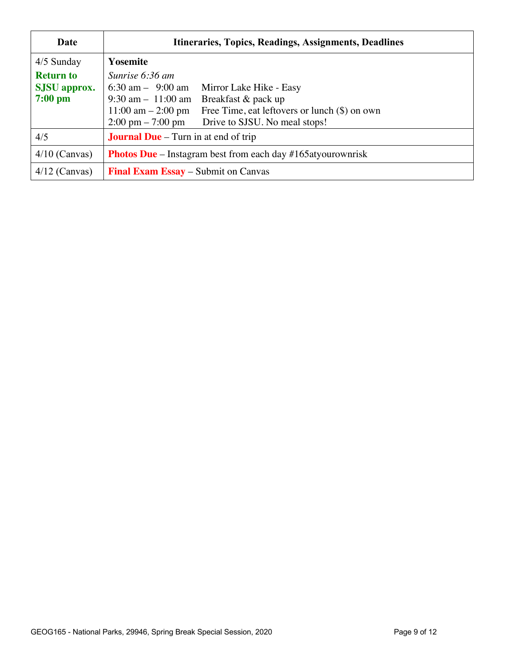| Date                | Itineraries, Topics, Readings, Assignments, Deadlines                                   |  |  |  |  |
|---------------------|-----------------------------------------------------------------------------------------|--|--|--|--|
| $4/5$ Sunday        | <b>Yosemite</b>                                                                         |  |  |  |  |
| <b>Return to</b>    | Sunrise 6:36 am                                                                         |  |  |  |  |
| <b>SJSU</b> approx. | 6:30 am $-$ 9:00 am<br>Mirror Lake Hike - Easy                                          |  |  |  |  |
| $7:00$ pm           | $9:30 \text{ am} - 11:00 \text{ am}$<br>Breakfast & pack up                             |  |  |  |  |
|                     | $11:00 \text{ am} - 2:00 \text{ pm}$<br>Free Time, eat leftovers or lunch $(\$)$ on own |  |  |  |  |
|                     | $2:00 \text{ pm} - 7:00 \text{ pm}$<br>Drive to SJSU. No meal stops!                    |  |  |  |  |
| 4/5                 | <b>Journal Due</b> – Turn in at end of trip                                             |  |  |  |  |
| $4/10$ (Canvas)     | <b>Photos Due</b> – Instagram best from each day $#165$ atyourownrisk                   |  |  |  |  |
| $4/12$ (Canvas)     | <b>Final Exam Essay</b> – Submit on Canvas                                              |  |  |  |  |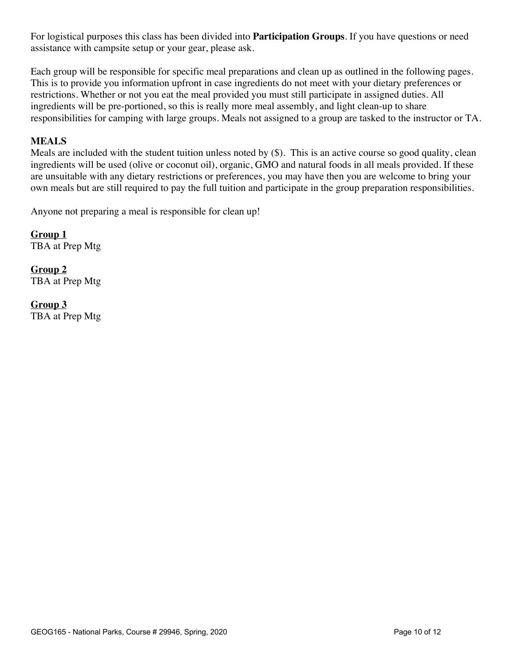For logistical purposes this class has been divided into **Participation Groups**. If you have questions or need assistance with campsite setup or your gear, please ask.

Each group will be responsible for specific meal preparations and clean up as outlined in the following pages. This is to provide you information upfront in case ingredients do not meet with your dietary preferences or restrictions. Whether or not you eat the meal provided you must still participate in assigned duties. All ingredients will be pre-portioned, so this is really more meal assembly, and light clean-up to share responsibilities for camping with large groups. Meals not assigned to a group are tasked to the instructor or TA.

## **MEALS**

Meals are included with the student tuition unless noted by (\$). This is an active course so good quality, clean ingredients will be used (olive or coconut oil), organic, GMO and natural foods in all meals provided. If these are unsuitable with any dietary restrictions or preferences, you may have then you are welcome to bring your own meals but are still required to pay the full tuition and participate in the group preparation responsibilities.

Anyone not preparing a meal is responsible for clean up!

**Group 1** TBA at Prep Mtg

**Group 2** TBA at Prep Mtg

**Group 3** TBA at Prep Mtg